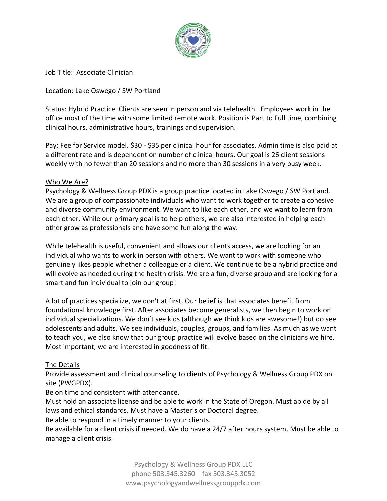

Job Title: Associate Clinician

Location: Lake Oswego / SW Portland

Status: Hybrid Practice. Clients are seen in person and via telehealth. Employees work in the office most of the time with some limited remote work. Position is Part to Full time, combining clinical hours, administrative hours, trainings and supervision.

Pay: Fee for Service model. \$30 - \$35 per clinical hour for associates. Admin time is also paid at a different rate and is dependent on number of clinical hours. Our goal is 26 client sessions weekly with no fewer than 20 sessions and no more than 30 sessions in a very busy week.

## Who We Are?

Psychology & Wellness Group PDX is a group practice located in Lake Oswego / SW Portland. We are a group of compassionate individuals who want to work together to create a cohesive and diverse community environment. We want to like each other, and we want to learn from each other. While our primary goal is to help others, we are also interested in helping each other grow as professionals and have some fun along the way.

While telehealth is useful, convenient and allows our clients access, we are looking for an individual who wants to work in person with others. We want to work with someone who genuinely likes people whether a colleague or a client. We continue to be a hybrid practice and will evolve as needed during the health crisis. We are a fun, diverse group and are looking for a smart and fun individual to join our group!

A lot of practices specialize, we don't at first. Our belief is that associates benefit from foundational knowledge first. After associates become generalists, we then begin to work on individual specializations. We don't see kids (although we think kids are awesome!) but do see adolescents and adults. We see individuals, couples, groups, and families. As much as we want to teach you, we also know that our group practice will evolve based on the clinicians we hire. Most important, we are interested in goodness of fit.

## The Details

Provide assessment and clinical counseling to clients of Psychology & Wellness Group PDX on site (PWGPDX).

Be on time and consistent with attendance.

Must hold an associate license and be able to work in the State of Oregon. Must abide by all laws and ethical standards. Must have a Master's or Doctoral degree.

Be able to respond in a timely manner to your clients.

Be available for a client crisis if needed. We do have a 24/7 after hours system. Must be able to manage a client crisis.

> Psychology & Wellness Group PDX LLC phone 503.345.3260 fax 503.345.3052 www.psychologyandwellnessgrouppdx.com